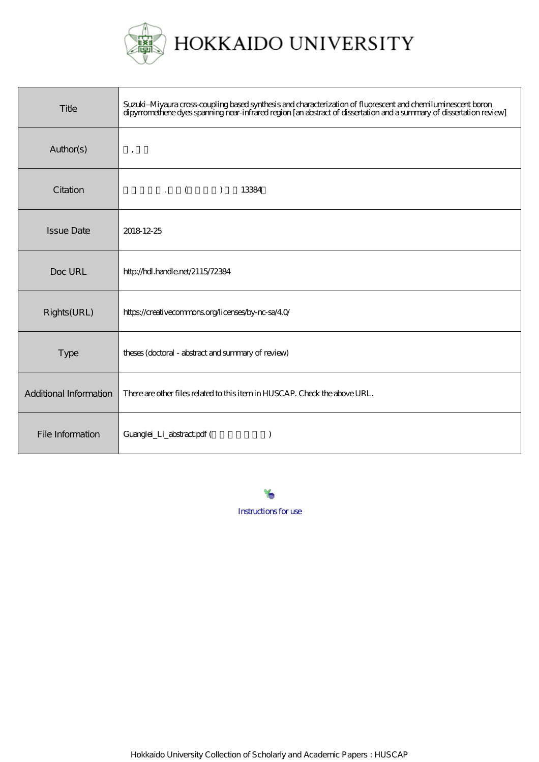

| Title                  | Suzuki–Miyaura cross-coupling based synthesis and characterization of fluorescent and chemiluminescent boron<br>dipyrromethene dyes spanning near-infrared region [an abstract of dissertation and a summary of dissertation revi |
|------------------------|-----------------------------------------------------------------------------------------------------------------------------------------------------------------------------------------------------------------------------------|
| Author(s)              | $\cdot$                                                                                                                                                                                                                           |
| Citation               | $\cdot$ ( )<br>13384                                                                                                                                                                                                              |
| <b>Issue Date</b>      | 2018 12-25                                                                                                                                                                                                                        |
| Doc URL                | http://hdl.handle.net/2115/72384                                                                                                                                                                                                  |
| Rights(URL)            | https://creativecommons.org/licenses/by-nc-sa/40/                                                                                                                                                                                 |
| Type                   | theses (doctoral - abstract and summary of review)                                                                                                                                                                                |
| Additional Information | There are other files related to this item in HUSCAP. Check the above URL.                                                                                                                                                        |
| File Information       | Guanglei_Li_abstract.pdf (                                                                                                                                                                                                        |

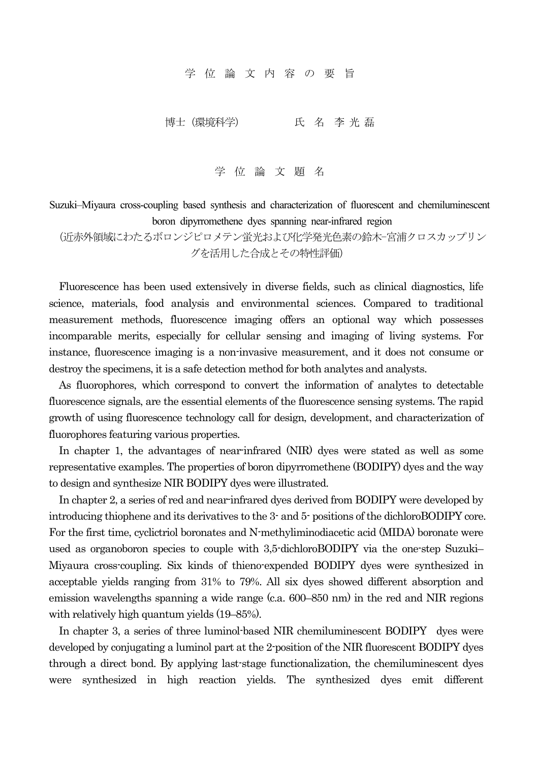学 位 論 文 内 容 の 要 旨

博士(環境科学) 氏 名 李 光 磊

学 位 論 文 題 名

Suzuki–Miyaura cross-coupling based synthesis and characterization of fluorescent and chemiluminescent boron dipyrromethene dyes spanning near-infrared region

(近赤外領域にわたるボロンジピロメテン蛍光および化学発光色素の鈴木-宮浦クロスカップリン グを活用した合成とその特性評価)

Fluorescence has been used extensively in diverse fields, such as clinical diagnostics, life science, materials, food analysis and environmental sciences. Compared to traditional measurement methods, fluorescence imaging offers an optional way which possesses incomparable merits, especially for cellular sensing and imaging of living systems. For instance, fluorescence imaging is a non-invasive measurement, and it does not consume or destroy the specimens, it is a safe detection method for both analytes and analysts.

As fluorophores, which correspond to convert the information of analytes to detectable fluorescence signals, are the essential elements of the fluorescence sensing systems. The rapid growth of using fluorescence technology call for design, development, and characterization of fluorophores featuring various properties.

In chapter 1, the advantages of near-infrared (NIR) dyes were stated as well as some representative examples. The properties of boron dipyrromethene (BODIPY) dyes and the way to design and synthesize NIR BODIPY dyes were illustrated.

In chapter 2, a series of red and near-infrared dyes derived from BODIPY were developed by introducing thiophene and its derivatives to the 3- and 5- positions of the dichloroBODIPY core. For the first time, cyclictriol boronates and N-methyliminodiacetic acid (MIDA) boronate were used as organoboron species to couple with 3,5-dichloroBODIPY via the one-step Suzuki– Miyaura cross-coupling. Six kinds of thieno-expended BODIPY dyes were synthesized in acceptable yields ranging from 31% to 79%. All six dyes showed different absorption and emission wavelengths spanning a wide range (c.a. 600–850 nm) in the red and NIR regions with relatively high quantum yields (19–85%).

In chapter 3, a series of three luminol-based NIR chemiluminescent BODIPY dyes were developed by conjugating a luminol part at the 2-position of the NIR fluorescent BODIPY dyes through a direct bond. By applying last-stage functionalization, the chemiluminescent dyes were synthesized in high reaction yields. The synthesized dyes emit different